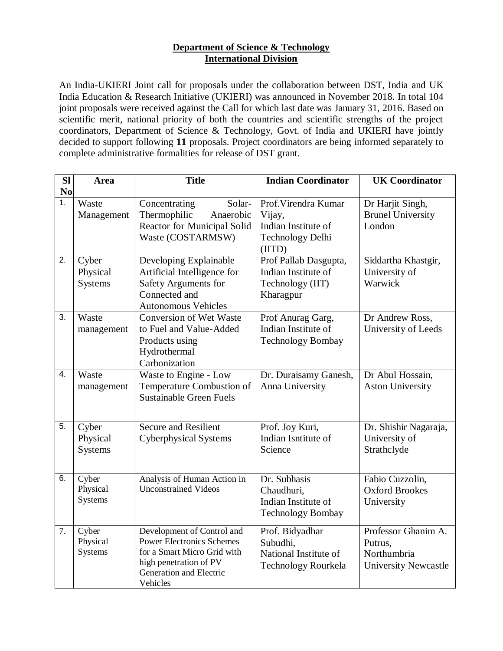## **Department of Science & Technology International Division**

An India-UKIERI Joint call for proposals under the collaboration between DST, India and UK India Education & Research Initiative (UKIERI) was announced in November 2018. In total 104 joint proposals were received against the Call for which last date was January 31, 2016. Based on scientific merit, national priority of both the countries and scientific strengths of the project coordinators, Department of Science & Technology, Govt. of India and UKIERI have jointly decided to support following **11** proposals. Project coordinators are being informed separately to complete administrative formalities for release of DST grant.

| <b>Sl</b><br>N <sub>0</sub> | Area                                | <b>Title</b>                                                                                                                                                   | <b>Indian Coordinator</b>                                                                  | <b>UK Coordinator</b>                                                        |
|-----------------------------|-------------------------------------|----------------------------------------------------------------------------------------------------------------------------------------------------------------|--------------------------------------------------------------------------------------------|------------------------------------------------------------------------------|
| 1.                          | Waste<br>Management                 | Solar-<br>Concentrating<br>Anaerobic<br>Thermophilic<br>Reactor for Municipal Solid<br>Waste (COSTARMSW)                                                       | Prof. Virendra Kumar<br>Vijay,<br>Indian Institute of<br><b>Technology Delhi</b><br>(IITD) | Dr Harjit Singh,<br><b>Brunel University</b><br>London                       |
| 2.                          | Cyber<br>Physical<br><b>Systems</b> | Developing Explainable<br>Artificial Intelligence for<br>Safety Arguments for<br>Connected and<br><b>Autonomous Vehicles</b>                                   | Prof Pallab Dasgupta,<br>Indian Institute of<br>Technology (IIT)<br>Kharagpur              | Siddartha Khastgir,<br>University of<br>Warwick                              |
| 3.                          | Waste<br>management                 | <b>Conversion of Wet Waste</b><br>to Fuel and Value-Added<br>Products using<br>Hydrothermal<br>Carbonization                                                   | Prof Anurag Garg,<br>Indian Institute of<br><b>Technology Bombay</b>                       | Dr Andrew Ross,<br>University of Leeds                                       |
| $\overline{4}$ .            | Waste<br>management                 | Waste to Engine - Low<br>Temperature Combustion of<br><b>Sustainable Green Fuels</b>                                                                           | Dr. Duraisamy Ganesh,<br>Anna University                                                   | Dr Abul Hossain,<br><b>Aston University</b>                                  |
| 5.                          | Cyber<br>Physical<br><b>Systems</b> | <b>Secure and Resilient</b><br><b>Cyberphysical Systems</b>                                                                                                    | Prof. Joy Kuri,<br>Indian Isntitute of<br>Science                                          | Dr. Shishir Nagaraja,<br>University of<br>Strathclyde                        |
| 6.                          | Cyber<br>Physical<br>Systems        | Analysis of Human Action in<br><b>Unconstrained Videos</b>                                                                                                     | Dr. Subhasis<br>Chaudhuri,<br>Indian Institute of<br><b>Technology Bombay</b>              | Fabio Cuzzolin,<br><b>Oxford Brookes</b><br>University                       |
| 7.                          | Cyber<br>Physical<br>Systems        | Development of Control and<br><b>Power Electronics Schemes</b><br>for a Smart Micro Grid with<br>high penetration of PV<br>Generation and Electric<br>Vehicles | Prof. Bidyadhar<br>Subudhi,<br>National Institute of<br>Technology Rourkela                | Professor Ghanim A.<br>Putrus,<br>Northumbria<br><b>University Newcastle</b> |